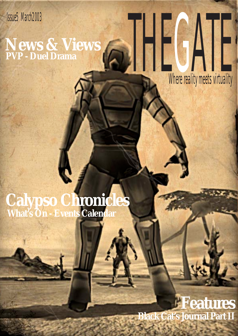# Isu5 March2003<br>News & Views<br>PVP - Duel Drama **News & Views PVP - Duel Drama**

Where reality meets virtuality

### **Calypso Chronicles What's On - Events Calendar**

### **Features Black Cat's Journal Part II**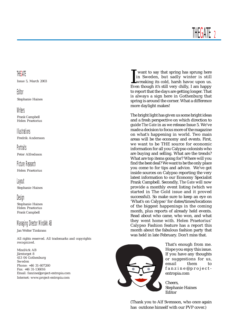Issue 5, March 2003

#### Editor

Stephanie Haines

### **Writers**

Frank Campbell Helen Praetorius

#### Illustrations

Fredrik Andersson

**Portraits** Peter Alfredsson

Picture Research

Helen Praetorius

### Layout

Stephanie Haines

### Design

Stephanie Haines Helen Praetorius Frank Campbell

### Managing Director MindArk AB

Jan Welter Timkrans

All rights reserved. All trademarks and copyrights recognized.

MindArk AB Järntorget 8 413 04 Gothenburg Sweden Phone: +46 31-607260 Fax: +46 31-136016 Email: fanzine@project-entropia.com Internet: www.project-entropia.com

I<sub>i</sub><br>Eve want to say that spring has sprung here in Sweden, but sadly winter is still wreaking its cold, harsh havoc upon us. Even though it's still very chilly, I am happy to report that the days are getting longer. That is always a sign here in Gothenburg that spring is around the corner. What a difference more daylight makes!

The bright light has given us some bright ideas and a fresh perspective on which direction to guide *The Gate* in as we release Issue 5. We've made a decision to focus more of the magazine on what's happening in world. Two main areas will be the economy and events. First, we want to be THE source for economic information for all you Calypso colonists who are buying and selling. What are the trends? What are top items going for? Where will you find the best deal? We want to be the only place you come to for tips and advice. We've got inside sources on Calypso reporting the very latest information to our Economy Specialist Frank Campbell. Secondly, *The Gate* will now provide a monthly event listing (which we started in The Gold issue and it proved successful). So make sure to keep an eye on 'What's on Calypso' for dates/times/locations of the biggest happenings in the coming month, plus reports of already held events. Read about who came, who won, and what they went home with. Helen Praetorius' Calypso Fashion feature has a report this month about the fabulous fashion party that was held in late February. Don't miss that.



That's enough from me. Hope you enjoy this issue. If you have any thoughts or suggestions for us, email them to fanzine@projectentropia.com

Cheers, Stephanie Haines Editor

(Thank you to Alf Svensson, who once again has outdone himself with our PVP cover.)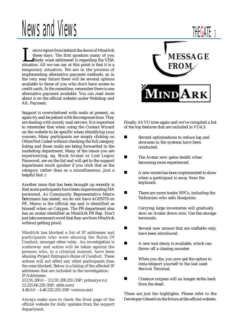# News and Views

In the doors of MindArk these days. The first question many of you<br>likely want addressed is regarding the VISA situation. All we can say at this point is that it is a these days. The first question many of you likely want addressed is regarding the VISA temporary situation. We are in the process of implementing alternative payment methods, so in the very near future there will be several options available to those of you who don't have access to credit cards. In the meantime, remember there is one alternative payment available. You can read more about it on the official website under Webshop and Alt. Payment.

Support is overwhelmed with mails at present, so again try and be patient with the response time. They are dealing with moody mail servers. It is important to remember that when using the Contact Wizard on the website to be specific when identifying your concern. Many participants are simply clicking on Other/Not Listed without checking the full category listing and those mails are being forwarded to the marketing department. Many of the issues you are experiencing, eg. Stuck Avatar or Lost Login/ Password, are on the list and will get to the support department much quicker if you click that as the category rather than as a miscellaneous. Just a helpful hint :)

Another issue that has been brought up recently is that some participants have been impersonating MA personnel. As Community Representative Marco Behrmann has stated, we do not have AGENTS on PE. Marco is the official rep and is identified as himself when on Calypso. The PR department also has an avatar identified as MindArk PR Rep. Don't just take someone's word that they are from MindArk without getting proof.

MindArk has blocked a list of IP addresses and participants who were abusing the Rules Of Conduct, amongst other rules. An investigation is underway and action will be taken against the persons who, in a criminal manner, have been abusing Project Entropia's Rules of Conduct. These actions will not affect any other participants than the ones blocked. Below is a listing of the affected IP addresses that are included in the investigation: IP Addresses:

212.91.200.0 – 212.91.200.255 (ISP: primorye.ru) 12.225.66.220 (ISP: attbi.com) 4.46.0.0 – 4.46.255.255 (ISP: verizon.net)

Always make sure to check the front page of the official website for daily updates from the support department.

# **MESSAGE FROM** NI

Finally, it's VU time again and we've compiled a list of the top features that are included in VU4.3:

- **Exercise Several optimisations to reduce lag and** slowness in the systems have been conducted.
- **Example 21 The Avatar now gains health when** becoming more experienced.
- A new emote has been implemented to show when a participant is away from the keyboard.
- There are more trader NPCs, including the Technician who sells blueprints.
- **Example 1** Carrying large inventories will gradually slow an Avatar down now. Use the storage terminals.
- **EXECUTE:** Several new armors that are craftable only, have been introduced.
- A new tool decoy is available, which can throw off a chasing monster.
- **I** When you die, you now get the option to insta-teleport yourself to the last used Revival Terminal.
- ! Creature corpses will no longer strike back from the dead.

These are just the highlights. Please refer to the Developer's Board on the forum at the official website.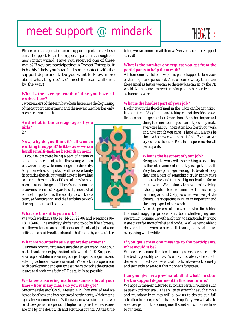### meet support  $@$  mindark  $\parallel$  HEGAT 4



*Please refer that question to our support department. Please contact support. Email the support department through our new contact wizard.* Have you received one of these mails? If you are participating in Project Entropia, it is highly likely you have had some contact with the support department. Do you want to know more about what they do? Let's meet the team…all girls by the way!

#### **What is the average length of time you have all worked here?**

*Two members of the team have been here since the beginning of the Support department and the newest member has only been here two months.*

**And what is the average age of you girls?** *27*

#### **Now, why do you think it's all women working in support? Is it because we can handle multi-tasking better than men?**

*Of course it's great being a part of a team of ambitious, intelligent, attractive young women but we definitely welcome some gender diversity. Any man who could put up with us is certainly fit to tackle the job, but would have to be willing to accept the seniority of those of us who have been around longest. There's no room for chauvinism or egos! Regardless of gender, what is most important is the ability to work as a team, self-motivation, and the flexibility to work during all hours of the day.*



#### **What are the shifts you work?**

*We work weekdays 06-14, 14-22, 22-06 and weekends 06- 18, 18-06. The weekday shifts tend to go by like a breeze, but the weekends can be a bit arduous. Plenty of Jolt cola and coffee and a positive attitude make the time go by a bit quicker.*

#### **What are your tasks as a support department?**

*Our main priority is to make sure the servers are online so our participants can enjoy the fantastic world of PE. Support is also responsible for answering our participants' inquiries and solving technical issues via email. We work in cooperation with development and quality assurance to tackle the greatest issues and problems facing PE as quickly as possible.*

#### **We know answering mails consumes a lot of your time – how many mails do you really get?**

*Since the release of Gold, interest in PE has swelled and we have a lot of new and inexperienced participants, which means a greater volume of mail. With every new version update we tend to experience a period of higher tempo as the new issues are one by one dealt with and solutions found. At the time* *being we have more email than we've ever had since Support started!*

#### **What is the number one request you get from the participants to help them with?**

*At the moment, a lot of new participants happen to lose track of their login and password. And of course we try to answer those email as fast as we can so the newbies can enjoy the PE world. At the same time we try to keep our other participants as happy as we can.*

#### **What is the hardest part of your job?**

*Dealing with the flood of mail in the inbox can be daunting. It's a matter of digging in and taking care of the oldest cases first, so no one gets unfair favoritism. Another important*

> *thing to remember is you cannot possibly make everyone happy, no matter how hard you work and how much you care. There will always be those who never will be satisfied. Even so, we try our best to make PE a fun experience for all participants.*

#### **What is the best part of your job?**

*Being able to work with something as exciting as the entertainment industry is a gift in itself. Very few are privileged enough to be able to say they are a part of something truly innovative and creative, and that is a big motivating factor in our work. We are lucky to have jobs involving other peoples' leisure time. All of us enjoy running around Calypso whenever we get the chance. Participating in PE is an important and thrilling aspect of our work.*

*Also, the process of discovering what lies behind*

*the most nagging problems is both challenging and rewarding. Coming up with a solution to a particularly trying issue gives feelings of relief and pride. We like being able to deliver solid answers to our participants; it's what makes everything worthwhile.*

#### **If you get across one message to the participants, what would it be?**

*We are here around the clock to make your experience in PE the best it possibly can be. We may not always be able to deliver an immediate answer to all mails but we work honestly and earnestly to see to it that no one is forgotten.*

#### **Can you give us a preview at all of what's in store for the support department in the near future?**

*We hope in the near future to automate certain routines such as password retrieval. The ability to streamline such simple and mundane inquiries will allow us to devote our full attention to more pressing issues. Hopefully, we will also be able to expand in the coming months and add some new faces to our team.*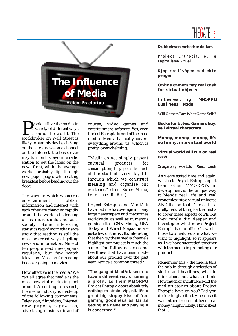



**P**eople utilize the media in<br>a variety of different ways<br>around the world. The<br>stockbroker on Wall Street is a variety of different ways around the world. The likely to start his day by clicking on the latest news on a channel on the Internet, the bus driver may turn on his favourite radio station to get the latest on the news front, while the average worker probably flips through newspaper pages while eating breakfast before heading out the door.

The ways in which we access entertainment, obtain information and interact with each other are changing rapidly around the world, challenging us as individuals and as a society. Some interesting statistics regarding media usage show that reading is still the most preferred way of getting news and information. Nine of ten people read newspapers regularly, but few watch television. Most prefer reading books or going to movies.

How effective is the media? We can all agree that media is the most powerful marketing tool around. According to research, the media industry is made up of the following components**:** Television, film/video, Internet, newspapers/magazines, advertising, music, radio and of course, video games and entertainment software. Yes, even Project Entropia is part of the mass media. Media basically covers everything around us, which is pretty overwhelming.

*"Media do not simply present cultural products for consumption; they provide much of the stuff of every day life through which we construct meaning and organize our existence." (from Super Media, by Michael R. Real)*

Project Entropia and MindArk have had media coverage in many large newspapers and magazines worldwide, as well as numerous gaming sites: CNN Money, USA Today and Wired Magazine are just a few on the list. It's interesting that the way these media channels highlight our project is much the same. The following are some headlines that have been made about our product over the past year. Notice a common thread?

**"The gang at MindArk seem to have a different way of turning a profit, as their MMORPG Project Entropia costs absolutely nothing to attain, zip, nil. It's a great big sloppy kiss of free gaming goodness as far as getting the game and playing it is concerned."**

#### **Dubbeleven met echte dollars**

**Project Entropia, ou le capitalisme vituel**

**Kjop spillvåpen med ekte penger**

**Online gamers pay real cash for virtual objects**

#### Interesting MMORPG Business Model

**Will Gamers Buy What Game Sells?**

**Bucks for bytes: Gamers buy, sell virtual characters**

**Money, money, money, it's so funny, in a virtual world**

**Virtual world will run on real cash**

#### Imaginary worlds. Real cash

As we've stated time and again, what sets Project Entropia apart from other MMORPG's in development is the unique way it blends real life and real economics into a virtual universe AND the fact that it's free. It is a pretty natural thing for the media to cover these aspects of PE, but they rarely dig deeper and investigate what more Project Entropia has to offer. Oh well – those two features are what we want to highlight, so it appears as if we have succeeded together with the media in promoting our product.

Remember this - the media tells the public, through a selection of stories and headlines, what to think *about*, not what to think. How much of an influence did the media's stories about Project Entropia have on you? Did you decide to give it a try because it was either free or utilized real money? Highly likely. Think *about* that…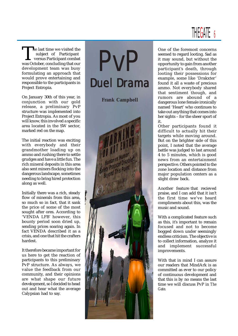

The last time we visited the<br>subject of Participant<br>was October, concluding that our subject of Participant versus Participant combat development team was busy formulating an approach that would prove entertaining and responsible to the participants in Project Entropia.

On January 30th of this year, in conjunction with our gold release, a preliminary PvP structure was implemented into Project Entropia. As most of you will know, this involved a specific area located in the SW sector, marked red on the map.

The initial reaction was exciting with everybody and their grandmother loading up on ammo and rushing there to settle grudges and have a little fun. The rich mineral deposits in this area also sent miners flocking into the dangerous landscape, sometimes needing to bring hired protection along as well.

Initially there was a rich, steady flow of minerals from this area. so much so in fact, that it sank the price of some of the most sought after ores. According to 'VENDA LFB' however, this bounty period soon dried up, sending prices soaring again. In fact VENDA described it as a crisis, and one that hit the crafters hardest.

It therefore became important for us here to get the reaction of participants to this preliminary PvP structure. As always, we value the feedback from our community, and their opinions are what shape our future development, so I decided to head out and hear what the average Calypsian had to say.

PvP **Duel Drama Frank Campbell**

One of the foremost concerns seemed to regard looting. Sad as it may sound, but without the opportunity to gain from another participant's death, through looting their possessions for example, some like 'Drakxter' found it all a waste of precious ammo. Not everybody shared that sentiment though, and rumors are abound of a dangerous lone female ironically named 'Heart' who continues to take out anything that comes into her sights – for the sheer sport of it.

Other participants found it difficult to actually hit their targets while moving around. But on the brighter side of this point, I noted that the average battle was judged to last around 4 to 5 minutes, which is good news from an entertainment perspective. Others pointed to the zone location and distance from major population centers as a slight draw back.

Another feature that recieved praise, and I can add that it isn't the first time we've heard compliments about this, was the music and sound.

With a complicated feature such as this, it's important to remain focused and not to become bogged down under seemingly endless criticism. The objective is to collect information, analyze it and implement successful improvements.

With that in mind I can assure our readers that MindArk is as committed as ever to our policy of continuous development and that this is by no means the last time we will discuss PvP in *The Gate.*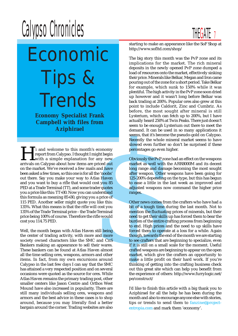# Calypso Chronicles THEGATE 7



Economic Tips & **Trends** 

**Economy Specialist Frank Campbell with files from Aziphirael**

seems, una network<br>
and the slowed even<br>
inght begin<br>
or any new<br>
obviously the<br>
reepriced out<br>
market as we<br>
all the 'noobs'<br>
all the 'noobs'<br>
all the 'noobs'<br>
after weapon<br>
Atlas Haven<br>
125-200% dep<br>
after weapon<br>
Atlas **Hi** and welcome to this month's economy<br>report from Calypso. I thought I might begin<br>with a simple explanation for any new<br>arrivals on Calypso about how items are priced out report from Calypso. I thought I might begin with a simple explanation for any new on the market. We've received a few mails and have been asked a few times, so this one is for all the 'noobs' out there. Say you make your way to Atlas Haven and you want to buy a rifle that would cost you 85 PED at a Trade Terminal (TT), and some trader quotes you a price like this: TT+30. Now you can understand this formula as meaning 85+30, giving you a price of 115 PED. Another seller might quote you like this: 135%. What this means is that the rifle will cost you 135% of the Trade Terminal price – the Trade Terminal price being 100% of course. Therefore the rifle would cost you 114.75 PED.

Well, the month began with Atlas Haven still being the center of trading activity, with more and more society owned characters like the SMC and CnS Bankers making an appearance to sell their wares. These bankers can be found at Atlas Haven almost all the time selling ores, weapons, armors and other items. In fact, from my own excursions around Calypso in the last few days I can say that the SMC has attained a very respected position and on several occasions were quoted as the source for ores. While Atlas Haven remains the primary trading post, other smaller centers like Jason Centre and Orthos West Mound have also increased in popularity. There are still many individuals selling ores, weapons and armors and the best advice in these cases is to shop around, because you may literally find a better bargain around the corner. Trading websites are also

starting to make an appearance like the SoF Shop at http://www.sofltd.com/shop/

The big story this month was the PvP zone and its implications for the market. The rich mineral deposits in the newly opened PvP zone dumped a load of resources onto the market, effectively sinking their price. Minerals like Belkar, Megan and Iron came pouring out of the zone for a short period. Take Belkar for example, which sunk to 150% while it was plentiful. The high activity in the PvP zone soon dried up however and it wasn't long before Belkar was back trading at 200%. Popular ores also grew at this point to include Caldorit, Zinc and Cumbriz. As before, the most sought after mineral is still Lysterium, which can fetch up to 200%, but I have actually heard 250% at Twin Peaks. There just doesn't seem to be enough Lysterium out there to meet the demand. It can be used in so many applications it seems, that it's become the pseudo-gold on Calypso. Recently the whole mineral market seems to have slowed even further so don't be surprised if these percentages go even higher.

Obviously the PvP zone had an effect on the weapons market as well with the ARR8000M and its decent long range and damage becoming the most sought after weapon. Other weapons have been going for 125-200% depending on the type, but this has begun to ease a little in the last week as improved and adjusted weapons now command the higher price ranges.

Other news comes from the crafters who have had a bit of a tough time during the last month. Not to mention the fluctuating prices of minerals, but their need to get their skills up has forced them to bear the burden of the entire crafting process from beginning to end. High prices and the need to up skills have forced them to operate at a loss for a while. Again though, towards the end of the month we are starting to see crafters that are beginning to specialize, even if it is still on a small scale for the moment. Useful crafted weapons are beginning to appear on the open market, which give the crafters an opportunity to make a little profit on their hard work. If you're thinking of getting into the crafting business check out this great site which can help you benefit from the experience of others: http://www.furrylogic.net/ pe/construct/

I'd like to finish this article with a big thank you to Aziphirael for all the help he has been during the month and also to encourage anyone else with stories, tips or trends to send them to fanzine@projectentropia.com and mark them 'economy'.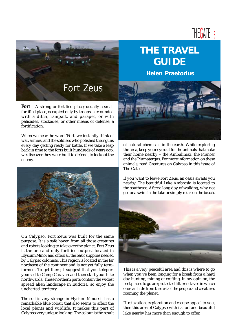

**Fort** – A strong or fortified place; usually a small fortified place, occupied only by troops, surrounded with a ditch, rampart, and parapet, or with palisades, stockades, or other means of defense; a fortification.

When we hear the word 'Fort' we instantly think of war, armies, and the soldiers who polished their guns every day getting ready for battle. If we take a leap back in time to the forts built hundreds of years ago, we discover they were built to defend, to lockout the enemy.



On Calypso, Fort Zeus was built for the same purpose. It is a safe haven from all those creatures and robots looking to take over the planet. Fort Zeus is the one and only fortified outpost located in Elysium Minor and offers all the basic supplies needed by Calypso colonists. This region is located in the far northeast of the continent and is not yet fully terraformed. To get there, I suggest that you teleport yourself to Camp Caravan and then start your hike northwards. These northern parts contain the widest spread alien landscape in Eudoria, so enjoy the uncharted territory.

The soil is very strange in Elysium Minor; it has a remarkable blue colour that also seems to affect the local plants and wildlife. It makes this part of Calypso very unique looking. The colour is the result

### **THE TRAVEL GUIDE**

**Helen Praetorius**



of natural chemicals in the earth. While exploring the area, keep your eye out for the animals that make their home nearby – the Ambulimax, the Prancer and the Plumatergus. For more information on these animals, read Creatures on Calypso in this issue of The Gate.

If you want to leave Fort Zeus, an oasis awaits you nearby. The beautiful Lake Ambrosia is located to the southeast. After a long day of walking, why not go for a swim in the lake or simply relax on the beach.



This is a very peaceful area and this is where to go when you've been longing for a break from a hard day hunting, mining or crafting. In my opinion, the best places to go are protected little enclaves in which one can hide from the rest of the people and creatures roaming the planet.

If relaxation, exploration and escape appeal to you, then this area of Calypso with its fort and beautiful lake nearby has more than enough to offer.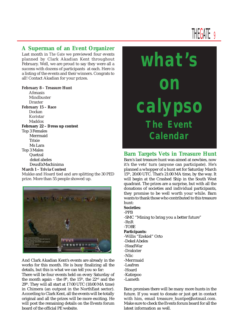#### **A Superman of an Event Organizer**

Last month in *The Gate* we previewed four events planned by Clark Akadian Kent throughout February. Well, we are proud to say they were all a success with dozens of participants at each. Here is a listing of the events and their winners. Congrats to all! Contact Akadian for your prizes.

#### **February 8 – Treasure Hunt**

Afenasis Mindbuster Draxter **February 15 – Race** Dockan Koristar Maddox **February 22 – Dress up contest** Top 3 Females Merrmaid **Trivio**  Ms Lara Top 3 Males Quetzal dekel abeles DeusExMachinima **March 1 – Trivia Contest**

Mukke and Hoard tied and are splitting the 30 PED prize. More than 55 people showed up.



And Clark Akadian Kent's events are already in the works for this month. He is busy finalizing all the details, but this is what we can tell you so far:

There will be four events held on every Saturday of the month again – the  $8<sup>th</sup>$ , the  $15<sup>th</sup>$ , the  $22<sup>nd</sup>$  and the 29th. They will all start at 17:00 UTC (18:00 MA time) in Chimera (an outpost in the NorthEast sector). According to Clark Kent, all the events will be totally original and all the prizes will be more exciting. He will post the remaining details on the Events forum board of the official PE website.

# **what's on calypso The Event Calendar**

### **Barn Targets Vets in Treasure Hunt**

Barn's last treasure hunt was aimed at newbies, now it's the vets' turn (anyone can participate). He's planned a whopper of a hunt set for Saturday March 15th, 20:00 UTC. That's 21:00 MA time, by the way. It will begin at the Crashed Ship in the South West quadrant. The prizes are a surprise, but with all the donations of societies and individual participants, they promise to be well worth your while. Barn wants to thank those who contributed to this treasure hunt:

#### **Societies**:

- -PPB
- -SMC "Mining to bring you a better future"

#### -RnR -TOBE

#### **Participants:**

- -Willis "Ezekiel" Orto
- -Dekel Abeles
- -HeadWar
- -Drakxter
- -Nlic
- -Merrmaid
- -Leafren
- -Hoard
- -Katiepoo
- -Lameth

Barn promises there will be many more hunts in the future. If you want to donate or just get in contact with him, email treasure\_huntpe@hotmail.com. Make sure to check the Events forum board for all the latest information as well.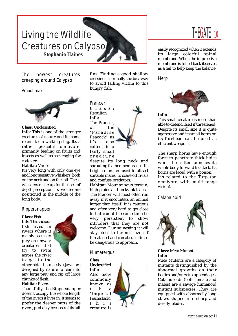### Living the Wildlife Creatures on Calypso **Stephanie Haines**

The newest creatures creeping around Calypso

#### Ambulimax



#### **Class:** Unclassified

**Info:** This is one of the stranger creatures of nature and its name refers to a walking slug. It's a rather peaceful omnivore, primarily feeding on fruits and insects as well as scavenging for cadavers.

#### **Habitat:** Varies

It's very long with only one eye and long sensitive whiskers, both on the neck and on the tail. These whiskers make up for the lack of depth perception. Its two feet are positioned in the middle of the long body.

#### Rippersnapper

#### **Class:** Fish

**Info**:This vicious fish lives in rivers where it mainly seems to prey on unwary creatures that try to swim across the river to get to the



other side. Its massive jaws are designed by nature to tear into any large prey and rip off large chunks of flesh.

#### **Habitat:** Rivers.

Thankfully the Rippersnapper doesn't occupy the whole length of the rivers it lives in. It seems to prefer the deeper parts of the rivers, probably because of its tall fins. Finding a good shallow crossing is normally the best way to avoid falling victim to this hungry fish.

Prancer **Class:** Reptilian **Info:** The Prancer, or the 'Paradise Peacock' as it's also called, is a fairly small creature



despite its long neck and sprouting feather membranes. Its bright colors are used to attract suitable mates, to scare off rivals and confuse predators.

**Habitat:** Mountainous terrain, high plains and rocky plateaus. The Prancer will most often run away if it encounters an animal larger than itself. It is cautious and often very hard to get close to but can at the same time be very persistent to show intruders that they are not welcome. During nesting it will stay close to the nest even if threatened and can at such times be dangerous to approach.

#### Plumatergus

#### **Class**:

Unclassified **Info:** Also more commonly known as t he 'Imperial Featherback', this creature is



### THEGATE 10

easily recognized when it extends its large colorful spinal membrane. When the impressive membrane is foiled back it serves as a tail to help keep the balance.

Merp



This small creature is more than able to defend itself if threatened. Despite its small size it is quite aggressive and its small horns on its forehead can be used as efficient weapons.

The sharp horns have enough force to penetrate thick hides when the critter launches its whole body forward to attack. Its horns are laced with a poison. It's related to the Turp (an omnivore with multi-range vision).

Calamusoid



**Class:** Meta Mutant **Info:**

Meta Mutants are a category of mutants distinguished by the abnormal growths on their bodies and/or extra appendages. Calamusoids (both female and males) are a savage humanoid mutant subspecies. They are equipped with abnormally long claws shaped into sharp and deadly blades.

*continued on pg.11*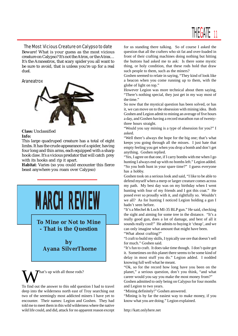## THEGATE<sub>11</sub>

The Most Vicious Creature on Calypso to date Beware! What is your guess as the most vicious creature on Calypso? It's not the Atrox, or the Atrax… It's the Araneatrox, that scary spider you all want to be sure to avoid, that is unless you're up for a real duel.

#### Araneatrox



#### **Class:** Unclassified **Info:**

This large quadruped creature has a total of eight limbs. It has the crude appearance of a spider, having four long and thin arms, each equipped with a sharp hook claw. It's a vicious predator that will catch prey with its hooks and rip it apart.

**Habitat**: Varies (so you could encounter this fierce beast anywhere you roam over Calypso)



**To Mine or Not to Mine - That is the Question**

**by Ayana SilverThorne**

hat's up with all those rods?

To find out the answer to this odd question I had to travel deep into the wilderness north east of Troy searching out two of the seemingly most addicted miners I have yet to encounter. Their names: Legion and Goshen. They had told me to meet them in this wild wilderness where the native wild life could, and did, attack for no apparent reason except for us standing there talking. So of course I asked the question that all the crafters who sit fat and over-loaded in front of their crafting machines doing nothing but hitting the buttons had asked me to ask: Is there some mystic thing, or holy condition, that these rods hold that draw such people to them, such as the miners?

Goshen seemed to relate in saying, "They kind of look like a beacon when you come running up to them, with the globe of light on top."

However Legion was more technical about them saying, "There's nothing special, they just get in my way most of the time."

So now that the mystical question has been solved, or has it, we can move on to the obsession with mining idea. Both Goshen and Legion admit to mining an average of five hours a day, and Goshen having a record marathon run of twentythree hours straight.

"Would you say mining is a type of obsession for you?" I asked.

"Well there's always the hope for the big one; that's what keeps you going through all the misses. I just hate that empty feeling you get when you drop a bomb and don't get anything. Goshen replied.

"Yes, I agree on that one, if I carry bombs with me when I go hunting I always end up with no bombs left." Legion added. "So you both hunt in your spare time?" I guess everyone has a hobby.

Goshen took on a serious look and said, "I like to be able to defend myself when a merp or larger creature comes across my path. My best day was on my birthday when I went hunting with four of my friends and I got this coat." He posed ever so proudly with it, and rightfully so. Wouldn't we all? As for hunting I noticed Legion holding a gun I hadn't seen before.

"It's a Mechel & Loch MI-35 BLP gun." He said, checking the sight and aiming for some tree in the distance. "It's a really good gun, does a lot of damage, and best of all it sounds really cool!" He admits to buying it 'cheap', and we can only imagine what amount that might have been.

"What about crafting?"

"I craft to build my skills, I typically use ore that doesn't sell for much." Goshen said.

"It's fun to craft. It does take time though. I don't quite get it. Sometimes on this planet there seems to be some kind of delay in most stuff you do." Legion added. I nodded knowing full well what he meant.

"Ok, so for the record how long have you been on the planet," a serious question, don't you think, "and what career would you say you make the most money from?"

Goshen admitted to only being on Calypso for four months and Legion to two years.

"Mining definitely!" Goshen answered.

"Mining is by far the easiest way to make money, if you know what you are doing." Legion explained.

http://katt.onlyhere.net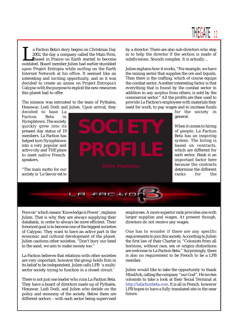

The Faction Beta's story begins on Christmas Day<br>2002, the day a company called the Main Firm,<br>based in France on Earth started to become<br>outdated. Board member Julien had earlier stumbled 2002, the day a company called the Main Firm, based in France on Earth started to become outdated. Board member Julien had earlier stumbled upon Project Entropia while surfing on the Earth Internet Network at his office. It seemed like an interesting and inviting opportunity, and so it was decided to create an annex on Project Entropia's Calypso with the purpose to exploit the new resources this planet had to offer.

The mission was entrusted to the team of Pythales, Hexawar, Lodi Dodi and Julien. Upon arrival, they

decided to base La Faction Beta in Nymphtown. The society quickly grew into its present day status of 19 members. La Faction has helped turn Nymphtown into a very popular and active city and THE place to meet native Frenchspeakers.

"The main motto for our society is 'Le Savoir est le



by a director. There are also sub-directors who step in to help the director if the section is made of subdivisions. Sounds complex. It is actually…

Julien explains how it works, "For example, we have the mining sector that supplies the ore and liquids. Then there is the crafting, which of course equips the combat sector. Another interesting factor is that everything that is found by the combat sector in addition to any surplus from others, is sold by the commercial sector." All the profits are then used to provide La Faction's employees with materials they need for work, to pay wages and to increase funds

for the society in general.

When it comes to hiring of people, La Faction Beta has an inspiring system. The hiring is based on contracts, which are different for each sector. Rank is an important factor here because the contracts determine the different ranks for the



Pouvoir' which means 'Knowledge is Power', explains Julien. That is why they are always supplying their databank, in order to always be more efficient. Their foremost goal is to become one of the biggest societies of Calypso. They want to have an active part in the economic and cultural development of the planet. Julien cautions other societies, "Don't bury our head in the sand, we aim to make money too."

La Faction believes that relations with other societies are very important, however the group holds firm in its belief to be independent. Julien calls LFB 'a multisector society trying to function in a closed circuit.'

There is not just one leader who runs La Faction Beta. They have a board of directors made up of Pythales, Hexawar, Lodi Dodi, and Julien who decide on the policy and economy of the society. Below them are different sectors – with each sector being supervised employees. A more superior rank provides one with larger supplies and wages. At present though, directors do not receive any wages.

One has to wonder if there are any specific requirements to join this society. According to Julien the first law of their Charter is, "Colonists from all horizons, without race, sex or origins distinctions are welcome in La Faction Beta." Surprisingly, there is also no requirement to be French to be a LFB member.

Julien would like to take the opportunity to thank MindArk, calling the company "our God". He invites colonists to take a look at their Social Terminal at http://lafactionbeta.com. It is all in French, however LFB hopes to have a fully translated site in the near future.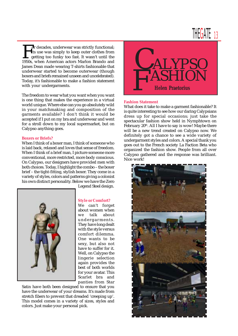For decades, underwear was strictly functional;<br>its use was simply to keep outer clothes from<br>getting too funky too fast. It wasn't until the<br>1950s, when American actors Marlon Brando and its use was simply to keep outer clothes from getting too funky too fast. It wasn't until the 1950s, when American actors Marlon Brando and James Dean made wearing T-shirts fashionable that underwear started to become outerwear (though boxers and briefs remained unseen and uncelebrated). Today, it's fashionable to make a fashion statement with your undergarments.

The freedom to wear what you want when you want is one thing that makes the experience in a virtual world unique. Where else can you go absolutely wild in your matchmaking and composition of the garments available? I don't think it would be accepted if I put on my bra and underwear and went for a stroll down to my local supermarket, but on Calypso anything goes.

#### **Boxers or Briefs?**

When I think of a boxer man, I think of someone who is laid back, relaxed and loves that sense of freedom. When I think of a brief man, I picture someone more conventional, more restricted, more body conscious. On Calypso, our designers have provided men with both choices. Today, I highlight the combo – the boxer brief – the tight-fitting, stylish boxer. They come in a variety of styles, colors and patterns giving a colonist his own distinct personality. Below we have the Zero



Legend Steel design.

#### **Style or Comfort?**

We can't forget about women when we talk about undergarments. They have long dealt with the style versus comfort dilemma. One wants to be sexy, but also not have to suffer for it. Well, on Calypso the lingerie selection again provides the best of both worlds for your avatar. This Scarlet bra and panties from Star

Satin have both been designed to ensure that you have the underwear of your dreams. It's made from stretch fibers to prevent that dreaded 'creeping up'. This model comes in a variety of sizes, styles and colors. Just make your personal pick.



#### **Fashion Statement**

What does it take to make a garment fashionable? It is quite interesting to see how our daring Calypsians dress up for special occasions; just take the spectacular fashion show held in Nymphtown on February 20<sup>th</sup>. All I have to say is wow! Maybe there will be a new trend created on Calypso now. We definitely got a chance to see a wide variety of undergarment styles and colors. A special thank you goes out to the French society La Faction Beta who organized the fashion show. People from all over Calypso gathered and the response was brilliant. Nice work!

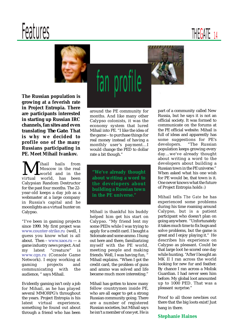# Features THEGATE 14



**The Russian population is growing at a feverish rate in Project Entropia. There are participants interested in starting up Russian IRC channels, fan sites and even translating** *The Gate***. That is why we decided to profile one of the many Russians participating in PE. Meet Mihail Ivankov.**

Mihail hails from virtual world, has been Moscow in the real world and in the Calypsian Random Destructor for the past four months. The 22 year-old keeps a day job as a webmaster at a large company in Russia's capital and he moonlights as a virtual hunter on Calypso.

"I've been in gaming projects since 1999. My first project was www.counter-strike.ru (well, I guess you know what is all about. Then – www.xaos.ru — a game industry news project. And my latest "creature" is www.cgn.ru (Console Game Network). I enjoy working at gaming projects and communicating with the audience, " says Mihail.

Evidently gaming isn't only a job for Mihail, as he has played several MMORPG's throughout the years. Project Entropia is his latest virtual experience, something he found out about through a friend who has been

around the PE community for months. And like many other Calypso colonists, it was the economy system that lured Mihail into PE. "I like the idea of the game – to purchase things for real money instead of having a monthly user 's payment…I would change the PED to dollar rate a bit though."

fan profile

**"We've already thought about writing a word to the developers about building a Russian town in the PE universe."**

Mihail is thankful his buddy helped him get his start on Calypso. "My friend lent my some PEDs while I was trying to apply for a credit card. I bought a Solomate and some ammo. I hung out here and there, familiarizing myself with the PE world, meeting people and making friends. Well, I was having fun, " Mihail explains. "When I got the credit card, the problem of guns and ammo was solved and life became much more interesting."

Mihail has gotten to know many fellow countrymen inside PE, who are all eager to get a strong Russian community going. There are a number of registered Russian societies, but Mihail says he isn't a member of one yet. He is

part of a community called New Russia, but he says it is not an official society. It was formed to communicate on the forums at the PE official website. Mihail is full of ideas and apparently has some suggestions for PE's developers. "The Russian population keeps growing every day…we've already thought about writing a word to the developers about building a Russian town in the PE universe." When asked what his one wish for PE would be, that town is it. One never knows what the future of Project Entropia holds :)

Mihail tells *The Gate* he has experienced some problems during his time roaming around Calypso, but is a patient participant who doesn't plan on going anywhere. "Unfortunately it takes much time to fix bugs and solve problems, but the game is great and I enjoy playing it." He describes his experience on Calypso as pleasant. Could be that large loot he scored one day while hunting. "After I bought an MK II I ran across the world looking for new fur and feather. By chance I ran across a Molisk Guardian. I had never seen him before. My global loot amounted up to 1000 PED. That was a pleasant surprise."

Proof to all those newbies out there that the big loots exist! Just hang in there.

#### **Stephanie Haines**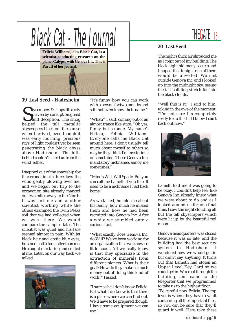

#### **19 Last Seed - Hadesheim**

Superagers & shops fill a city<br>driven by corruption, greed<br>and deception. The smog<br>helped the tall metallic **Kyscrapers & shops fill a city**  driven by corruption,greed and deception. The smog skyscrapers block out the sun so when I arrived, even though it was early morning, precious rays of light couldn't yet be seen penetrating the black abyss above Hadesheim. The hills behind couldn't shield us from the wind either.

I stepped out of the spaceship for the second time in three days, the wind gently blowing over me, and we began our trip to the excavation site already marked out two miles away to the North. It was just me and another scientist working while the others examined the Twin Peaks soil that we had collected when we were there. We would compare the samples later. The scientist was quiet and his face seemed almost in pain. With jet black hair and arctic blue eyes, he stood half a foot taller than me. He caught me staring and smiled at me. Later, on our way back we talked.



"It's funny how you can work with a person for two months and still not even know their name."

"What?" I said, coming out of an almost trance like state. "Oh yes, funny but strange. My name's Felicia, Felicia Williams. Everyone calls me Black Cat around here. I don't usually tell much about myself to others so maybe they think I'm mysterious or something. These Genova Inc. mandatory nicknames annoy me sometimes."

"Mine's Will, Will Spade. But you can call me Lameth if you like. It used to be a nickname I had back home"

As we talked, he told me about his family, how much he missed them and how he had been recruited into Genova Inc. After a while we stumbled onto a curious fact.

"What exactly does Genova Inc. do Will? We've been working for an organization that we know so little about. All we really know is that they specialize in the extraction of minerals from different planets. What is their goal? How do they make so much money out of doing this kind of work?" I asked.

"I sure as hell don't know Felicia. But what I do know is that there is a place where we can find out. We'll have to be prepared though. I have some equipment we can use."



#### **20 Last Seed**

The night's thick air shrouded me as I crept out of my building. The black night hid many secrets and I hoped that tonight one of them would be unveiled. We met outside Genova Inc. and I looked up into the midnight sky, seeing the tall building stretch far into the black clouds.

"Well this is it," I said to him, taking in the awe of the moment. "I'm not sure I'm completely ready to do this but I know I can't back out now."



Lameth told me it was going to be okay. I couldn't help feel like Genova Inc. already knew what we were about to do and as I looked around us for one final time, I saw the night clouding all but the tall skyscrapers which were lit up by the beautiful red moon.

Genova headquarters was closed because it was so late, and the building had the best security system in Hadesheim. I wondered how we would get in but didn't say anything. It turns out that Lameth had stolen an Upper Level Key Card so we could get in. We crept through the building, and came to the teleporter that we programmed to take us to the highest floor.

"Be careful now Felicia. The top level is where they have a vault containing all the important files, so you can be sure that they'll guard it well. Here take these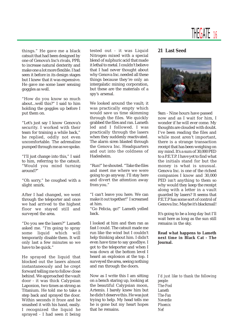

things." He gave me a black catsuit that had been designed by one of Genova's Inc's rivals, PPB, to increase natural dexterity and make one a lot more flexible. I had seen it before in its design stages but I knew that it was expensive. He gave me some laser sensing goggles as well.

"How do you know so much about...well this?" I said to him holding the goggles up before I put them on.

"Let's just say I know Genova's security. I worked with their team for training a while back," he replied, oddly not even uncomfortable. The adrenaline pumped through me as we spoke.

"I'll just change into this," I said to him, referring to the catsuit. "Would you mind turning around?"

"Oh sorry," he coughed with a slight smirk.

After I had changed, we went through the teleporter and once we had arrived to the highest floor we stayed still and surveyed the area.

"Do you see the lasers?" Lameth asked me. "I'm going to spray some liquid which will temporarily disable them. It will only last a few minutes so we have to be quick."

He sprayed the liquid that blocked out the lasers almost instantaneously and he crept forward telling me to follow close behind. We approached the vault door - it was thick Calypsian Laponion, two times as strong as Titanium. He told me to take a step back and sprayed the door. Within seconds it froze and he smashed it with his hand, easily. I recognized the liquid he sprayed - I had seen it being

tested out - it was Liquid Nitrogen mixed with a special blend of sulphuric acid that made it lethal to metal. I couldn't believe that I had never thought about why Genova Inc. needed all these things because they're only an intergalatic mining corporation, but these are the materials of a spy's arsenal.

We looked around the vault; it was practically empty which would save us time skimming through the files. We quickly grabbed the files and ran. Lameth led and I followed. I was practically through the lasers when they suddenly reactivated. The alarm siren blasted through the Genova Inc. Headquarters and out into the coldness of Hadesheim.

"Run!" he shouted. "Take the files and meet me where we were going to go anyway. I'll stay here and divert the attention away from you."

"I can't leave you here. We can make it out together!" I screamed at him.

"Go Felicia, go!" Lameth yelled back.

I looked at him and then ran as fast I could. The catsuit made me run like the wind but I couldn't help thinking about him. I didn't even have time to say goodbye. I got to the teleporter and when I was down at the bottom level I heard an explosion at the top. I surveyed the area, seeing nothing and ran through the doors.

Now as I write this I am sitting on a bench staring up, looking at the beautiful Calypsian moon, Artemis. I barely knew him but he didn't deserve this. He was just trying to help. My head tells me he is gone but my heart hopes that he remains.

#### **21 Last Seed**



9am - Nine hours have passed now and as I wait for him, I wonder if he will ever come. My thoughts are clouded with doubt. I've been reading the files and while most aren't important, there is a strange transaction receipt that has been weighing on my mind. It's a sum of 30,000 PED to a P.E.T.P. I have yet to find what the initials stand for but the money is what is unusual. Genova Inc. is one of the richest companies I know and 30,000 PED isn't anything to them so why would they keep the receipt along with a letter in a vault guarded by lasers? It seems that P.E.T.P has some sort of control of Genova Inc. Maybe it's blackmail!

It's going to be a long day but I'll wait here as long as the sun still remains in the sky.

#### **Read what happens to Lameth next time in Black Cat - The Journal.**

*I'd just like to thank the following people: The-Fool Lameth The-Fan Neverdie Phoenix Nef*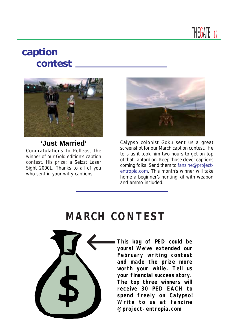**THEGATE 17** 

### **caption contest**



### **'Just Married'**

Congratulations to Pelleas, the winner of our Gold edition's caption contest. His prize: a Seizzt Laser Sight 2000L. Thanks to all of you who sent in your witty captions.



Calypso colonist Goku sent us a great screenshot for our March caption contest. He tells us it took him two hours to get on top of that Tantardion. Keep those clever captions coming folks. Send them to fanzine@projectentropia.com. This month's winner will take home a beginner's hunting kit with weapon and ammo included.

### **MARCH CONTEST**



**This bag of PED could be yours! We've extended our February writing contest and made the prize more worth your while. Tell us your financial success story. The top three winners will receive 30 PED EACH to spend freely on Calypso! Write to us at fanzine @project-entropia.com**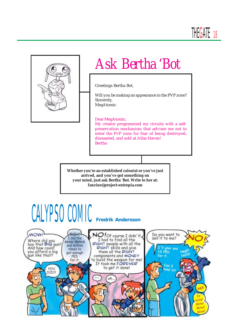

# *Ask Bertha 'Bot*

Greetings Bertha Bot,

Will you be making an appearance in the PVP zone? Sincerely, MegAtomic

#### Dear MegAtomic,

My creator programmed my circuits with a selfpreservation mechanism that advises me not to enter the PvP zone for fear of being destroyed, dismanted, and sold at Atlas Haven! Bertha

**Whether you're an established colonist or you've just arrived, and you've got something on your mind, just ask Bertha 'Bot. Write to her at: fanzine@project-entropia.com**

# CALYPSO COMIC **Fredrik Andersson**